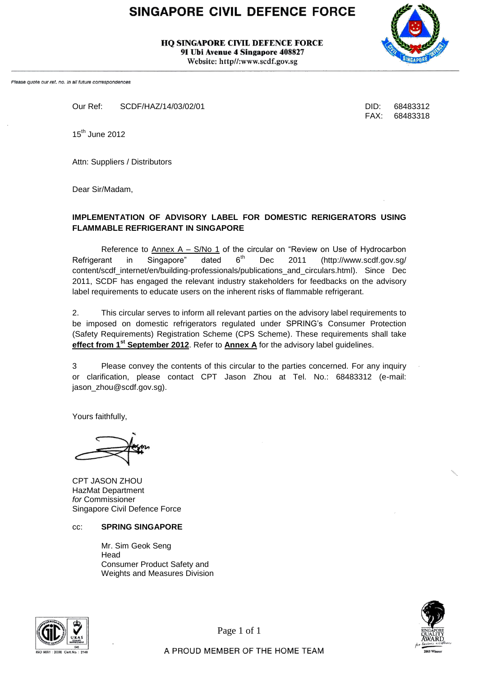# SINGAPORE CIVIL DEFENCE FORCE

**HO SINGAPORE CIVIL DEFENCE FORCE** 91 Ubi Avenue 4 Singapore 408827 Website: http//:www.scdf.gov.sg



Please quote our ref. no. in all future correspondences

Our Ref: SCDF/HAZ/14/03/02/01 DID: 68483312

FAX: 68483318

15<sup>th</sup> June 2012

Attn: Suppliers / Distributors

Dear Sir/Madam,

#### **IMPLEMENTATION OF ADVISORY LABEL FOR DOMESTIC RERIGERATORS USING FLAMMABLE REFRIGERANT IN SINGAPORE**

Reference to  $\Delta$ nnex  $A - S/No$  1 of the circular on "Review on Use of Hydrocarbon Refrigerant in Singapore" dated  $6<sup>th</sup>$  Dec 2011 (http://www.scdf.gov.sg/ content/scdf\_internet/en/building-professionals/publications\_and\_circulars.html). Since Dec 2011, SCDF has engaged the relevant industry stakeholders for feedbacks on the advisory label requirements to educate users on the inherent risks of flammable refrigerant.

2. This circular serves to inform all relevant parties on the advisory label requirements to be imposed on domestic refrigerators regulated under SPRING's Consumer Protection (Safety Requirements) Registration Scheme (CPS Scheme). These requirements shall take **effect from 1st September 2012**. Refer to **Annex A** for the advisory label guidelines.

3 Please convey the contents of this circular to the parties concerned. For any inquiry or clarification, please contact CPT Jason Zhou at Tel. No.: 68483312 (e-mail: jason\_zhou@scdf.gov.sg).

Yours faithfully,

CPT JASON ZHOU HazMat Department *for* Commissioner Singapore Civil Defence Force

#### cc: **SPRING SINGAPORE**

Mr. Sim Geok Seng Head Consumer Product Safety and Weights and Measures Division



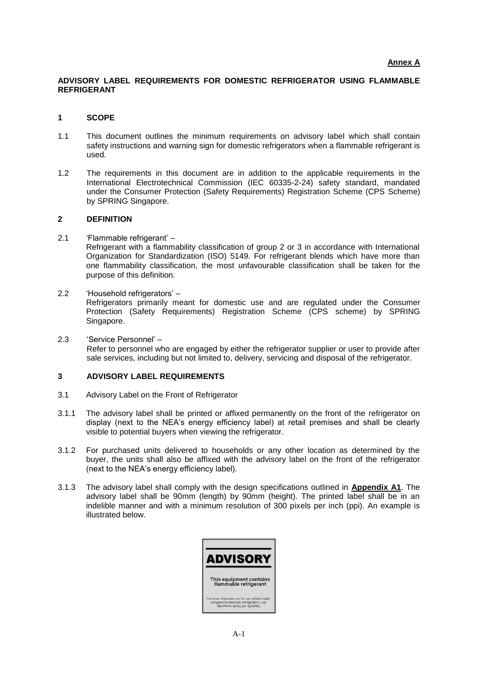#### **ADVISORY LABEL REQUIREMENTS FOR DOMESTIC REFRIGERATOR USING FLAMMABLE REFRIGERANT**

#### **1 SCOPE**

- 1.1 This document outlines the minimum requirements on advisory label which shall contain safety instructions and warning sign for domestic refrigerators when a flammable refrigerant is used.
- 1.2 The requirements in this document are in addition to the applicable requirements in the International Electrotechnical Commission (IEC 60335-2-24) safety standard, mandated under the Consumer Protection (Safety Requirements) Registration Scheme (CPS Scheme) by SPRING Singapore.

#### **2 DEFINITION**

- 2.1 "Flammable refrigerant" Refrigerant with a flammability classification of group 2 or 3 in accordance with International Organization for Standardization (ISO) 5149. For refrigerant blends which have more than one flammability classification, the most unfavourable classification shall be taken for the purpose of this definition.
- 2.2 "Household refrigerators" Refrigerators primarily meant for domestic use and are regulated under the Consumer Protection (Safety Requirements) Registration Scheme (CPS scheme) by SPRING Singapore.
- 2.3 "Service Personnel" Refer to personnel who are engaged by either the refrigerator supplier or user to provide after sale services, including but not limited to, delivery, servicing and disposal of the refrigerator.

#### **3 ADVISORY LABEL REQUIREMENTS**

- 3.1 Advisory Label on the Front of Refrigerator
- 3.1.1 The advisory label shall be printed or affixed permanently on the front of the refrigerator on display (next to the NEA"s energy efficiency label) at retail premises and shall be clearly visible to potential buyers when viewing the refrigerator.
- 3.1.2 For purchased units delivered to households or any other location as determined by the buyer, the units shall also be affixed with the advisory label on the front of the refrigerator (next to the NEA"s energy efficiency label).
- 3.1.3 The advisory label shall comply with the design specifications outlined in **Appendix A1**. The advisory label shall be 90mm (length) by 90mm (height). The printed label shall be in an indelible manner and with a minimum resolution of 300 pixels per inch (ppi). An example is illustrated below.

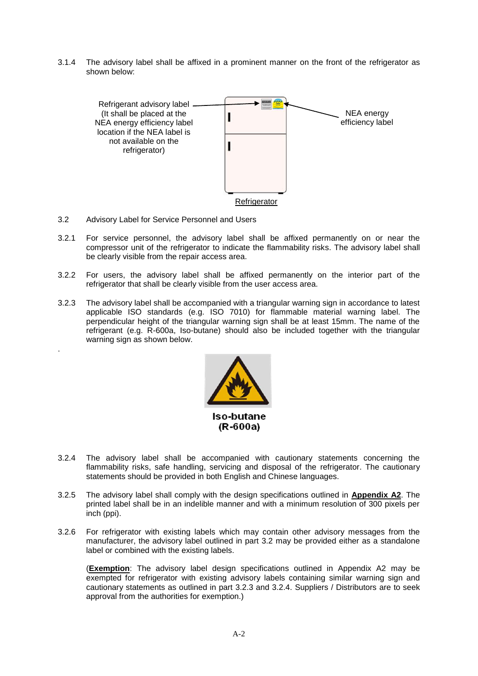3.1.4 The advisory label shall be affixed in a prominent manner on the front of the refrigerator as shown below:



3.2 Advisory Label for Service Personnel and Users

.

- 3.2.1 For service personnel, the advisory label shall be affixed permanently on or near the compressor unit of the refrigerator to indicate the flammability risks. The advisory label shall be clearly visible from the repair access area.
- 3.2.2 For users, the advisory label shall be affixed permanently on the interior part of the refrigerator that shall be clearly visible from the user access area.
- 3.2.3 The advisory label shall be accompanied with a triangular warning sign in accordance to latest applicable ISO standards (e.g. ISO 7010) for flammable material warning label. The perpendicular height of the triangular warning sign shall be at least 15mm. The name of the refrigerant (e.g. R-600a, Iso-butane) should also be included together with the triangular warning sign as shown below.



- 3.2.4 The advisory label shall be accompanied with cautionary statements concerning the flammability risks, safe handling, servicing and disposal of the refrigerator. The cautionary statements should be provided in both English and Chinese languages.
- 3.2.5 The advisory label shall comply with the design specifications outlined in **Appendix A2**. The printed label shall be in an indelible manner and with a minimum resolution of 300 pixels per inch (ppi).
- 3.2.6 For refrigerator with existing labels which may contain other advisory messages from the manufacturer, the advisory label outlined in part 3.2 may be provided either as a standalone label or combined with the existing labels.

(**Exemption**: The advisory label design specifications outlined in Appendix A2 may be exempted for refrigerator with existing advisory labels containing similar warning sign and cautionary statements as outlined in part 3.2.3 and 3.2.4. Suppliers / Distributors are to seek approval from the authorities for exemption.)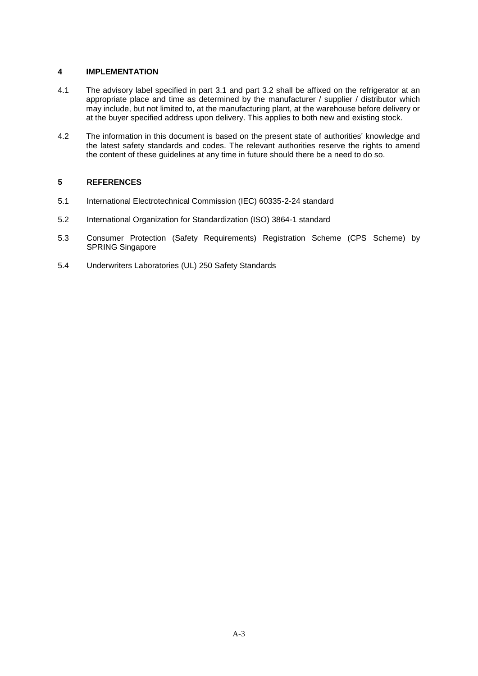#### **4 IMPLEMENTATION**

- 4.1 The advisory label specified in part 3.1 and part 3.2 shall be affixed on the refrigerator at an appropriate place and time as determined by the manufacturer / supplier / distributor which may include, but not limited to, at the manufacturing plant, at the warehouse before delivery or at the buyer specified address upon delivery. This applies to both new and existing stock.
- 4.2 The information in this document is based on the present state of authorities' knowledge and the latest safety standards and codes. The relevant authorities reserve the rights to amend the content of these guidelines at any time in future should there be a need to do so.

#### **5 REFERENCES**

- 5.1 International Electrotechnical Commission (IEC) 60335-2-24 standard
- 5.2 International Organization for Standardization (ISO) 3864-1 standard
- 5.3 Consumer Protection (Safety Requirements) Registration Scheme (CPS Scheme) by SPRING Singapore
- 5.4 Underwriters Laboratories (UL) 250 Safety Standards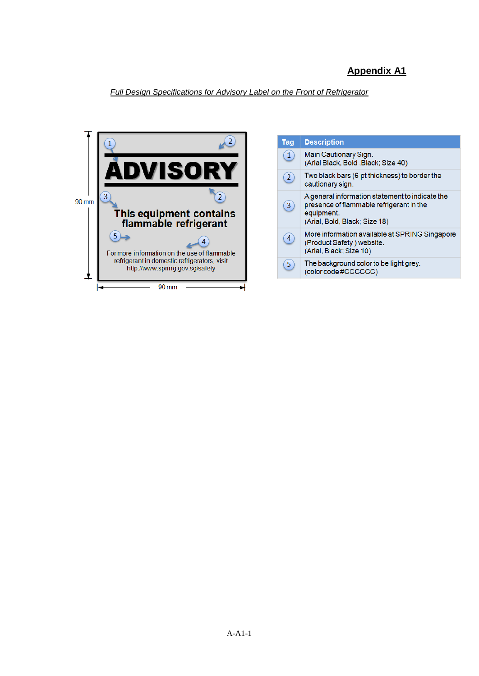## **Appendix A1**

*Full Design Specifications for Advisory Label on the Front of Refrigerator*



| <b>Tag</b>     | <b>Description</b>                                                                                                                         |
|----------------|--------------------------------------------------------------------------------------------------------------------------------------------|
| $\mathbf{1}$   | Main Cautionary Sign.<br>(Arial Black, Bold, Black; Size 40)                                                                               |
| $\overline{2}$ | Two black bars (6 pt thickness) to border the<br>cautionary sign.                                                                          |
| 3              | A general information statement to indicate the<br>presence of flammable refrigerant in the<br>equipment.<br>(Arial, Bold, Black; Size 18) |
| 4              | More information available at SPRING Singapore<br>(Product Safety) website.<br>(Arial, Black; Size 10)                                     |
| 5              | The background color to be light grey.<br>(color code #CCCCCC)                                                                             |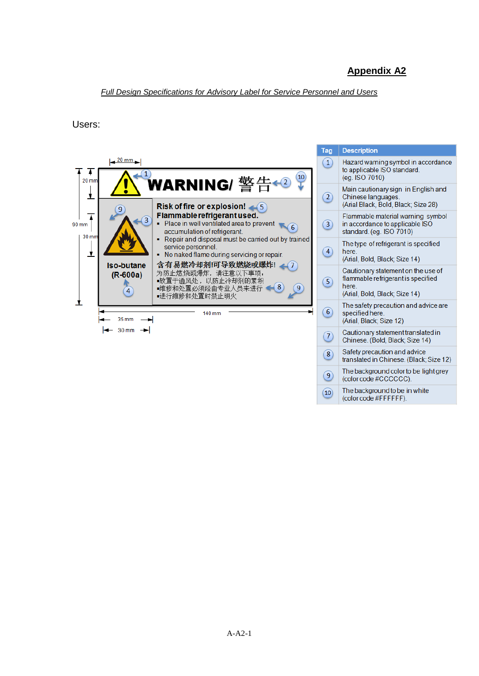### **Appendix A2**

#### *Full Design Specifications for Advisory Label for Service Personnel and Users*

Users: